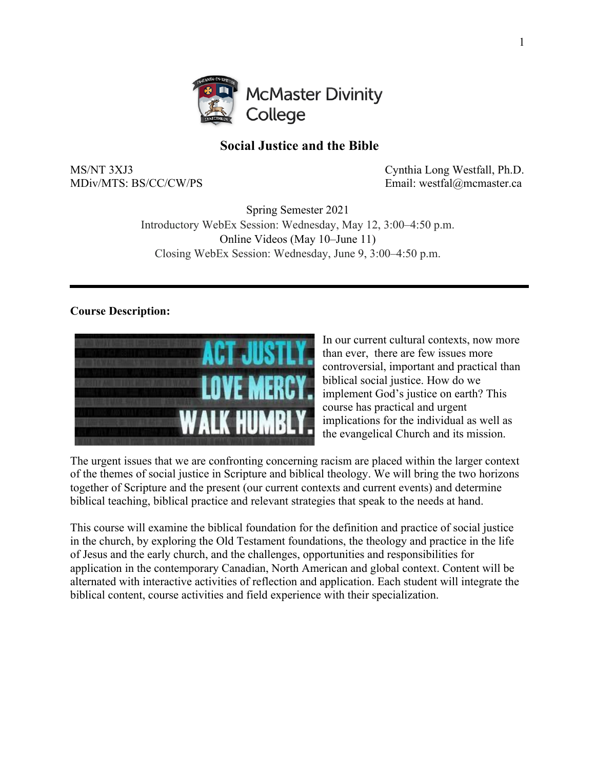

# **Social Justice and the Bible**

MS/NT 3XJ3 Cynthia Long Westfall, Ph.D. MDiv/MTS: BS/CC/CW/PS Email: westfal@mcmaster.ca

> Spring Semester 2021 Introductory WebEx Session: Wednesday, May 12, 3:00–4:50 p.m. Online Videos (May 10–June 11) Closing WebEx Session: Wednesday, June 9, 3:00–4:50 p.m.

## **Course Description:**



In our current cultural contexts, now more than ever, there are few issues more controversial, important and practical than biblical social justice. How do we implement God's justice on earth? This course has practical and urgent implications for the individual as well as the evangelical Church and its mission.

The urgent issues that we are confronting concerning racism are placed within the larger context of the themes of social justice in Scripture and biblical theology. We will bring the two horizons together of Scripture and the present (our current contexts and current events) and determine biblical teaching, biblical practice and relevant strategies that speak to the needs at hand.

This course will examine the biblical foundation for the definition and practice of social justice in the church, by exploring the Old Testament foundations, the theology and practice in the life of Jesus and the early church, and the challenges, opportunities and responsibilities for application in the contemporary Canadian, North American and global context. Content will be alternated with interactive activities of reflection and application. Each student will integrate the biblical content, course activities and field experience with their specialization.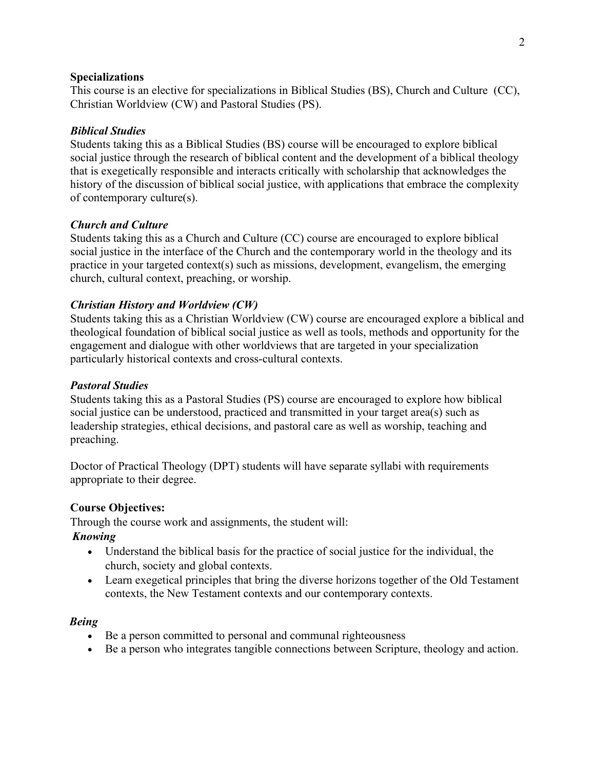#### **Specializations**

This course is an elective for specializations in Biblical Studies (BS), Church and Culture (CC), Christian Worldview (CW) and Pastoral Studies (PS).

## *Biblical Studies*

Students taking this as a Biblical Studies (BS) course will be encouraged to explore biblical social justice through the research of biblical content and the development of a biblical theology that is exegetically responsible and interacts critically with scholarship that acknowledges the history of the discussion of biblical social justice, with applications that embrace the complexity of contemporary culture(s).

## *Church and Culture*

Students taking this as a Church and Culture (CC) course are encouraged to explore biblical social justice in the interface of the Church and the contemporary world in the theology and its practice in your targeted context(s) such as missions, development, evangelism, the emerging church, cultural context, preaching, or worship.

## *Christian History and Worldview (CW)*

Students taking this as a Christian Worldview (CW) course are encouraged explore a biblical and theological foundation of biblical social justice as well as tools, methods and opportunity for the engagement and dialogue with other worldviews that are targeted in your specialization particularly historical contexts and cross-cultural contexts.

## *Pastoral Studies*

Students taking this as a Pastoral Studies (PS) course are encouraged to explore how biblical social justice can be understood, practiced and transmitted in your target area(s) such as leadership strategies, ethical decisions, and pastoral care as well as worship, teaching and preaching.

Doctor of Practical Theology (DPT) students will have separate syllabi with requirements appropriate to their degree.

## **Course Objectives:**

Through the course work and assignments, the student will:

## *Knowing*

- Understand the biblical basis for the practice of social justice for the individual, the church, society and global contexts.
- Learn exegetical principles that bring the diverse horizons together of the Old Testament contexts, the New Testament contexts and our contemporary contexts.

## *Being*

- Be a person committed to personal and communal righteousness
- Be a person who integrates tangible connections between Scripture, theology and action.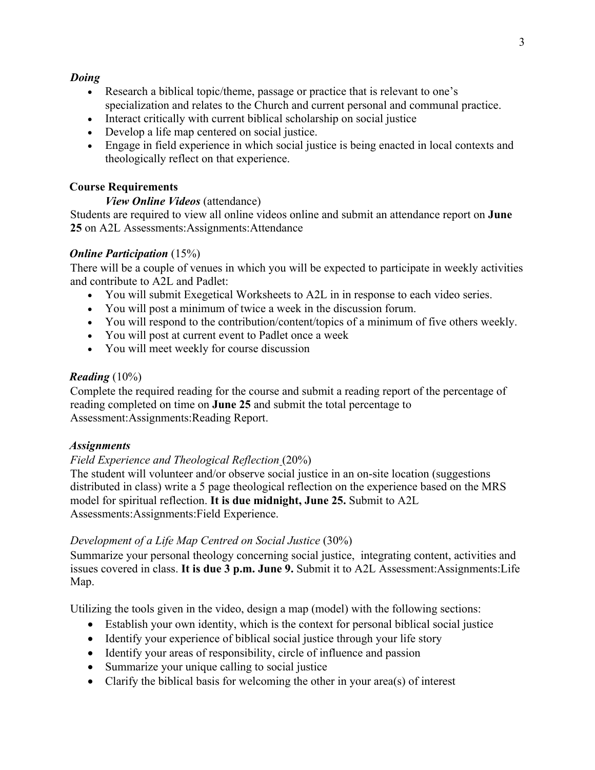### *Doing*

- Research a biblical topic/theme, passage or practice that is relevant to one's specialization and relates to the Church and current personal and communal practice.
- Interact critically with current biblical scholarship on social justice
- Develop a life map centered on social justice.
- Engage in field experience in which social justice is being enacted in local contexts and theologically reflect on that experience.

## **Course Requirements**

## *View Online Videos* (attendance)

Students are required to view all online videos online and submit an attendance report on **June 25** on A2L Assessments:Assignments:Attendance

## *Online Participation* (15%)

There will be a couple of venues in which you will be expected to participate in weekly activities and contribute to A2L and Padlet:

- You will submit Exegetical Worksheets to A2L in in response to each video series.
- You will post a minimum of twice a week in the discussion forum.
- You will respond to the contribution/content/topics of a minimum of five others weekly.
- You will post at current event to Padlet once a week
- You will meet weekly for course discussion

## *Reading* (10%)

Complete the required reading for the course and submit a reading report of the percentage of reading completed on time on **June 25** and submit the total percentage to Assessment:Assignments:Reading Report.

## *Assignments*

## *Field Experience and Theological Reflection* (20%)

The student will volunteer and/or observe social justice in an on-site location (suggestions distributed in class) write a 5 page theological reflection on the experience based on the MRS model for spiritual reflection. **It is due midnight, June 25.** Submit to A2L Assessments:Assignments:Field Experience.

## *Development of a Life Map Centred on Social Justice* (30%)

Summarize your personal theology concerning social justice, integrating content, activities and issues covered in class. **It is due 3 p.m. June 9.** Submit it to A2L Assessment:Assignments:Life Map.

Utilizing the tools given in the video, design a map (model) with the following sections:

- Establish your own identity, which is the context for personal biblical social justice
- Identify your experience of biblical social justice through your life story
- Identify your areas of responsibility, circle of influence and passion
- Summarize your unique calling to social justice
- Clarify the biblical basis for welcoming the other in your area(s) of interest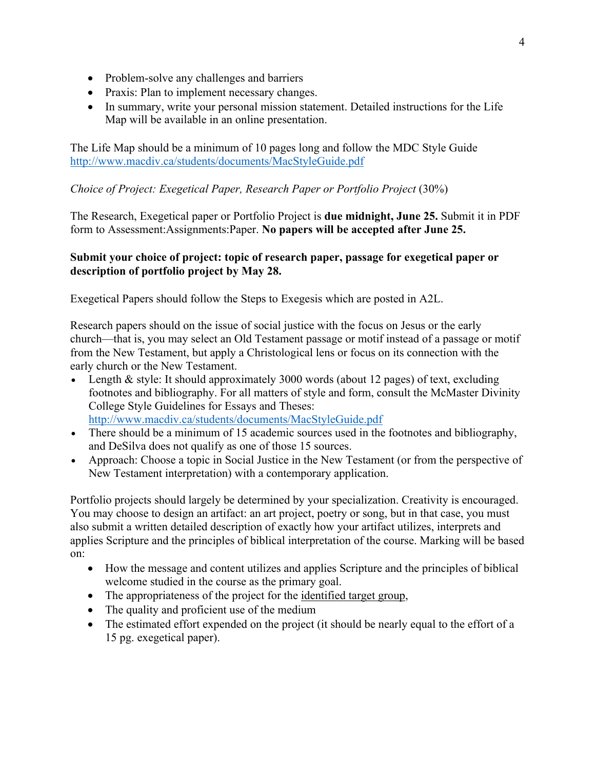- Problem-solve any challenges and barriers
- Praxis: Plan to implement necessary changes.
- In summary, write your personal mission statement. Detailed instructions for the Life Map will be available in an online presentation.

The Life Map should be a minimum of 10 pages long and follow the MDC Style Guide http://www.macdiv.ca/students/documents/MacStyleGuide.pdf

# *Choice of Project: Exegetical Paper, Research Paper or Portfolio Project* (30%)

The Research, Exegetical paper or Portfolio Project is **due midnight, June 25.** Submit it in PDF form to Assessment:Assignments:Paper. **No papers will be accepted after June 25.**

## **Submit your choice of project: topic of research paper, passage for exegetical paper or description of portfolio project by May 28.**

Exegetical Papers should follow the Steps to Exegesis which are posted in A2L.

Research papers should on the issue of social justice with the focus on Jesus or the early church—that is, you may select an Old Testament passage or motif instead of a passage or motif from the New Testament, but apply a Christological lens or focus on its connection with the early church or the New Testament.

- Length & style: It should approximately 3000 words (about 12 pages) of text, excluding footnotes and bibliography. For all matters of style and form, consult the McMaster Divinity College Style Guidelines for Essays and Theses: http://www.macdiv.ca/students/documents/MacStyleGuide.pdf
- There should be a minimum of 15 academic sources used in the footnotes and bibliography, and DeSilva does not qualify as one of those 15 sources.
- Approach: Choose a topic in Social Justice in the New Testament (or from the perspective of New Testament interpretation) with a contemporary application.

Portfolio projects should largely be determined by your specialization. Creativity is encouraged. You may choose to design an artifact: an art project, poetry or song, but in that case, you must also submit a written detailed description of exactly how your artifact utilizes, interprets and applies Scripture and the principles of biblical interpretation of the course. Marking will be based on:

- How the message and content utilizes and applies Scripture and the principles of biblical welcome studied in the course as the primary goal.
- The appropriateness of the project for the identified target group,
- The quality and proficient use of the medium
- The estimated effort expended on the project (it should be nearly equal to the effort of a 15 pg. exegetical paper).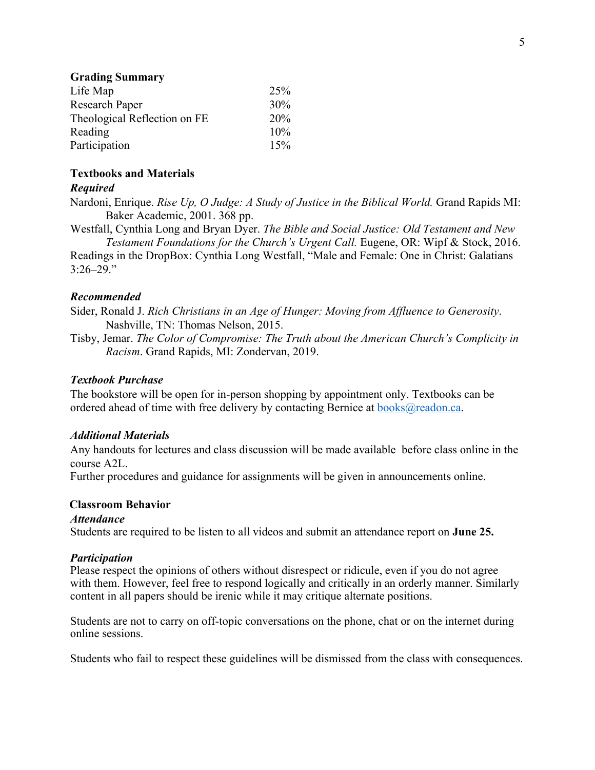#### **Grading Summary**

| Life Map                     | 25% |
|------------------------------|-----|
| Research Paper               | 30% |
| Theological Reflection on FE | 20% |
| Reading                      | 10% |
| Participation                | 15% |

#### **Textbooks and Materials**

#### *Required*

Nardoni, Enrique. *Rise Up, O Judge: A Study of Justice in the Biblical World.* Grand Rapids MI: Baker Academic, 2001. 368 pp.

Westfall, Cynthia Long and Bryan Dyer. *The Bible and Social Justice: Old Testament and New Testament Foundations for the Church's Urgent Call.* Eugene, OR: Wipf & Stock, 2016. Readings in the DropBox: Cynthia Long Westfall, "Male and Female: One in Christ: Galatians  $3:26 - 29."$ 

#### *Recommended*

Sider, Ronald J. *Rich Christians in an Age of Hunger: Moving from Affluence to Generosity*. Nashville, TN: Thomas Nelson, 2015.

Tisby, Jemar. *The Color of Compromise: The Truth about the American Church's Complicity in Racism*. Grand Rapids, MI: Zondervan, 2019.

#### *Textbook Purchase*

The bookstore will be open for in-person shopping by appointment only. Textbooks can be ordered ahead of time with free delivery by contacting Bernice at  $books@readon.ca.$ 

#### *Additional Materials*

Any handouts for lectures and class discussion will be made available before class online in the course A2L.

Further procedures and guidance for assignments will be given in announcements online.

#### **Classroom Behavior**

#### *Attendance*

Students are required to be listen to all videos and submit an attendance report on **June 25.**

#### *Participation*

Please respect the opinions of others without disrespect or ridicule, even if you do not agree with them. However, feel free to respond logically and critically in an orderly manner. Similarly content in all papers should be irenic while it may critique alternate positions.

Students are not to carry on off-topic conversations on the phone, chat or on the internet during online sessions.

Students who fail to respect these guidelines will be dismissed from the class with consequences.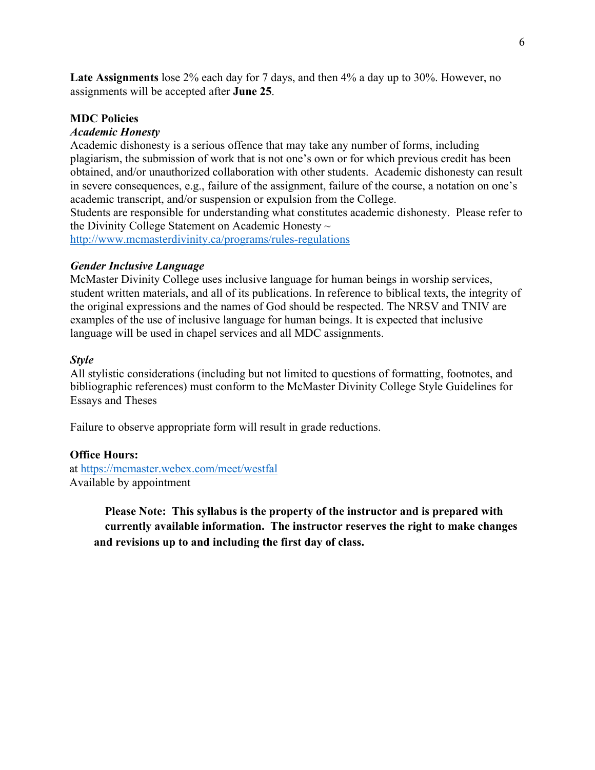**Late Assignments** lose 2% each day for 7 days, and then 4% a day up to 30%. However, no assignments will be accepted after **June 25**.

## **MDC Policies**

## *Academic Honesty*

Academic dishonesty is a serious offence that may take any number of forms, including plagiarism, the submission of work that is not one's own or for which previous credit has been obtained, and/or unauthorized collaboration with other students. Academic dishonesty can result in severe consequences, e.g., failure of the assignment, failure of the course, a notation on one's academic transcript, and/or suspension or expulsion from the College.

Students are responsible for understanding what constitutes academic dishonesty. Please refer to the Divinity College Statement on Academic Honesty  $\sim$ 

http://www.mcmasterdivinity.ca/programs/rules-regulations

## *Gender Inclusive Language*

McMaster Divinity College uses inclusive language for human beings in worship services, student written materials, and all of its publications. In reference to biblical texts, the integrity of the original expressions and the names of God should be respected. The NRSV and TNIV are examples of the use of inclusive language for human beings. It is expected that inclusive language will be used in chapel services and all MDC assignments.

#### *Style*

All stylistic considerations (including but not limited to questions of formatting, footnotes, and bibliographic references) must conform to the McMaster Divinity College Style Guidelines for Essays and Theses

Failure to observe appropriate form will result in grade reductions.

## **Office Hours:**

at https://mcmaster.webex.com/meet/westfal Available by appointment

> **Please Note: This syllabus is the property of the instructor and is prepared with currently available information. The instructor reserves the right to make changes and revisions up to and including the first day of class.**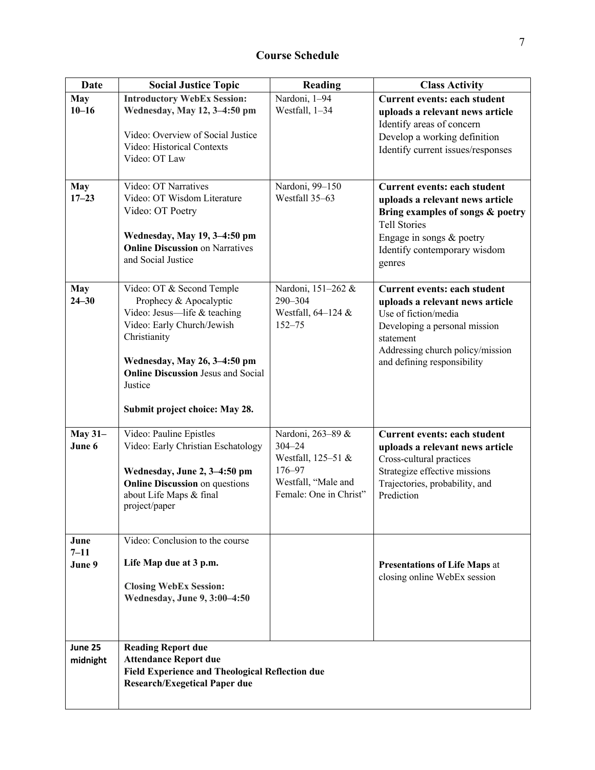| <b>Date</b>                | <b>Social Justice Topic</b>                                                                                                                                                                                                                                 | Reading                                                                                                          | <b>Class Activity</b>                                                                                                                                                                                           |
|----------------------------|-------------------------------------------------------------------------------------------------------------------------------------------------------------------------------------------------------------------------------------------------------------|------------------------------------------------------------------------------------------------------------------|-----------------------------------------------------------------------------------------------------------------------------------------------------------------------------------------------------------------|
| <b>May</b><br>$10 - 16$    | <b>Introductory WebEx Session:</b><br>Wednesday, May 12, 3-4:50 pm<br>Video: Overview of Social Justice<br>Video: Historical Contexts<br>Video: OT Law                                                                                                      | Nardoni, 1-94<br>Westfall, 1-34                                                                                  | <b>Current events: each student</b><br>uploads a relevant news article<br>Identify areas of concern<br>Develop a working definition<br>Identify current issues/responses                                        |
| <b>May</b><br>$17 - 23$    | Video: OT Narratives<br>Video: OT Wisdom Literature<br>Video: OT Poetry<br>Wednesday, May 19, 3-4:50 pm<br><b>Online Discussion on Narratives</b><br>and Social Justice                                                                                     | Nardoni, 99-150<br>Westfall 35-63                                                                                | <b>Current events: each student</b><br>uploads a relevant news article<br>Bring examples of songs & poetry<br><b>Tell Stories</b><br>Engage in songs & poetry<br>Identify contemporary wisdom<br>genres         |
| <b>May</b><br>$24 - 30$    | Video: OT & Second Temple<br>Prophecy & Apocalyptic<br>Video: Jesus-life & teaching<br>Video: Early Church/Jewish<br>Christianity<br>Wednesday, May 26, 3-4:50 pm<br><b>Online Discussion Jesus and Social</b><br>Justice<br>Submit project choice: May 28. | Nardoni, 151-262 &<br>290-304<br>Westfall, $64-124$ &<br>$152 - 75$                                              | <b>Current events: each student</b><br>uploads a relevant news article<br>Use of fiction/media<br>Developing a personal mission<br>statement<br>Addressing church policy/mission<br>and defining responsibility |
| <b>May 31-</b><br>June 6   | Video: Pauline Epistles<br>Video: Early Christian Eschatology<br>Wednesday, June 2, 3-4:50 pm<br><b>Online Discussion</b> on questions<br>about Life Maps & final<br>project/paper                                                                          | Nardoni, 263-89 &<br>$304 - 24$<br>Westfall, 125-51 &<br>176-97<br>Westfall, "Male and<br>Female: One in Christ" | <b>Current events: each student</b><br>uploads a relevant news article<br>Cross-cultural practices<br>Strategize effective missions<br>Trajectories, probability, and<br>Prediction                             |
| June<br>$7 - 11$<br>June 9 | Video: Conclusion to the course<br>Life Map due at 3 p.m.<br><b>Closing WebEx Session:</b><br>Wednesday, June 9, 3:00-4:50                                                                                                                                  |                                                                                                                  | <b>Presentations of Life Maps at</b><br>closing online WebEx session                                                                                                                                            |
| June 25<br>midnight        | <b>Reading Report due</b><br><b>Attendance Report due</b><br><b>Field Experience and Theological Reflection due</b><br><b>Research/Exegetical Paper due</b>                                                                                                 |                                                                                                                  |                                                                                                                                                                                                                 |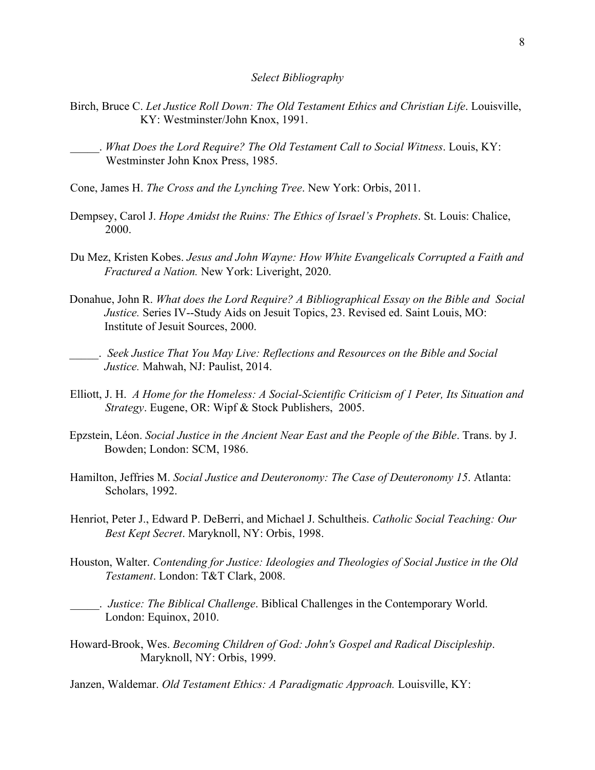#### *Select Bibliography*

- Birch, Bruce C. *Let Justice Roll Down: The Old Testament Ethics and Christian Life*. Louisville, KY: Westminster/John Knox, 1991.
	- \_\_\_\_\_. *What Does the Lord Require? The Old Testament Call to Social Witness*. Louis, KY: Westminster John Knox Press, 1985.
- Cone, James H. *The Cross and the Lynching Tree*. New York: Orbis, 2011.
- Dempsey, Carol J. *Hope Amidst the Ruins: The Ethics of Israel's Prophets*. St. Louis: Chalice, 2000.
- Du Mez, Kristen Kobes. *Jesus and John Wayne: How White Evangelicals Corrupted a Faith and Fractured a Nation.* New York: Liveright, 2020.
- Donahue, John R. *What does the Lord Require? A Bibliographical Essay on the Bible and Social Justice.* Series IV--Study Aids on Jesuit Topics, 23. Revised ed. Saint Louis, MO: Institute of Jesuit Sources, 2000.
- \_\_\_\_\_. *Seek Justice That You May Live: Reflections and Resources on the Bible and Social Justice.* Mahwah, NJ: Paulist, 2014.
- Elliott, J. H. *A Home for the Homeless: A Social-Scientific Criticism of 1 Peter, Its Situation and Strategy*. Eugene, OR: Wipf & Stock Publishers, 2005.
- Epzstein, Léon. *Social Justice in the Ancient Near East and the People of the Bible*. Trans. by J. Bowden; London: SCM, 1986.
- Hamilton, Jeffries M. *Social Justice and Deuteronomy: The Case of Deuteronomy 15*. Atlanta: Scholars, 1992.
- Henriot, Peter J., Edward P. DeBerri, and Michael J. Schultheis. *Catholic Social Teaching: Our Best Kept Secret*. Maryknoll, NY: Orbis, 1998.
- Houston, Walter. *Contending for Justice: Ideologies and Theologies of Social Justice in the Old Testament*. London: T&T Clark, 2008.
- \_\_\_\_\_. *Justice: The Biblical Challenge*. Biblical Challenges in the Contemporary World. London: Equinox, 2010.
- Howard-Brook, Wes. *Becoming Children of God: John's Gospel and Radical Discipleship*. Maryknoll, NY: Orbis, 1999.

Janzen, Waldemar. *Old Testament Ethics: A Paradigmatic Approach.* Louisville, KY: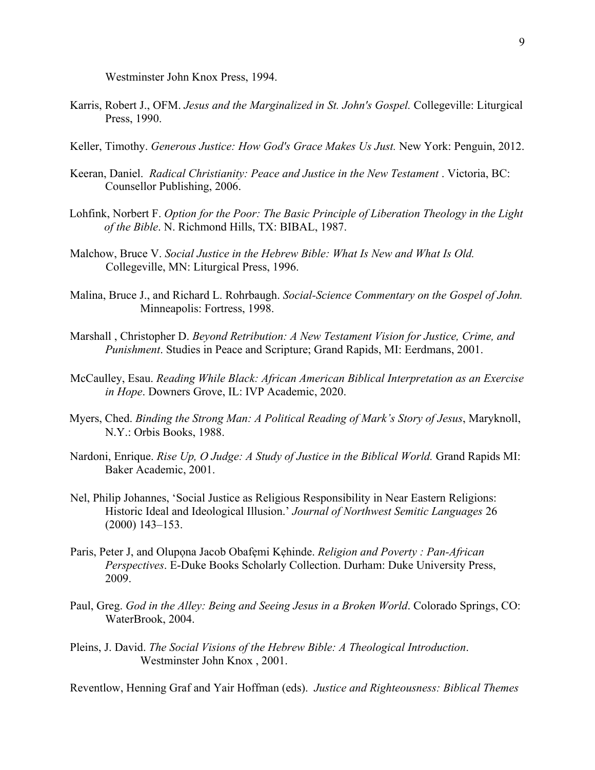Westminster John Knox Press, 1994.

- Karris, Robert J., OFM. *Jesus and the Marginalized in St. John's Gospel.* Collegeville: Liturgical Press, 1990.
- Keller, Timothy. *Generous Justice: How God's Grace Makes Us Just.* New York: Penguin, 2012.
- Keeran, Daniel. *Radical Christianity: Peace and Justice in the New Testament* . Victoria, BC: Counsellor Publishing, 2006.
- Lohfink, Norbert F. *Option for the Poor: The Basic Principle of Liberation Theology in the Light of the Bible*. N. Richmond Hills, TX: BIBAL, 1987.
- Malchow, Bruce V. *Social Justice in the Hebrew Bible: What Is New and What Is Old.* Collegeville, MN: Liturgical Press, 1996.
- Malina, Bruce J., and Richard L. Rohrbaugh. *Social-Science Commentary on the Gospel of John.* Minneapolis: Fortress, 1998.
- Marshall , Christopher D. *Beyond Retribution: A New Testament Vision for Justice, Crime, and Punishment*. Studies in Peace and Scripture; Grand Rapids, MI: Eerdmans, 2001.
- McCaulley, Esau. *Reading While Black: African American Biblical Interpretation as an Exercise in Hope*. Downers Grove, IL: IVP Academic, 2020.
- Myers, Ched. *Binding the Strong Man: A Political Reading of Mark's Story of Jesus*, Maryknoll, N.Y.: Orbis Books, 1988.
- Nardoni, Enrique. *Rise Up, O Judge: A Study of Justice in the Biblical World.* Grand Rapids MI: Baker Academic, 2001.
- Nel, Philip Johannes, 'Social Justice as Religious Responsibility in Near Eastern Religions: Historic Ideal and Ideological Illusion.' *Journal of Northwest Semitic Languages* 26 (2000) 143–153.
- Paris, Peter J, and Olupona Jacob Obafemi Kehinde. *Religion and Poverty : Pan-African Perspectives*. E-Duke Books Scholarly Collection. Durham: Duke University Press, 2009.
- Paul, Greg. *God in the Alley: Being and Seeing Jesus in a Broken World*. Colorado Springs, CO: WaterBrook, 2004.
- Pleins, J. David. *The Social Visions of the Hebrew Bible: A Theological Introduction*. Westminster John Knox , 2001.

Reventlow, Henning Graf and Yair Hoffman (eds). *Justice and Righteousness: Biblical Themes*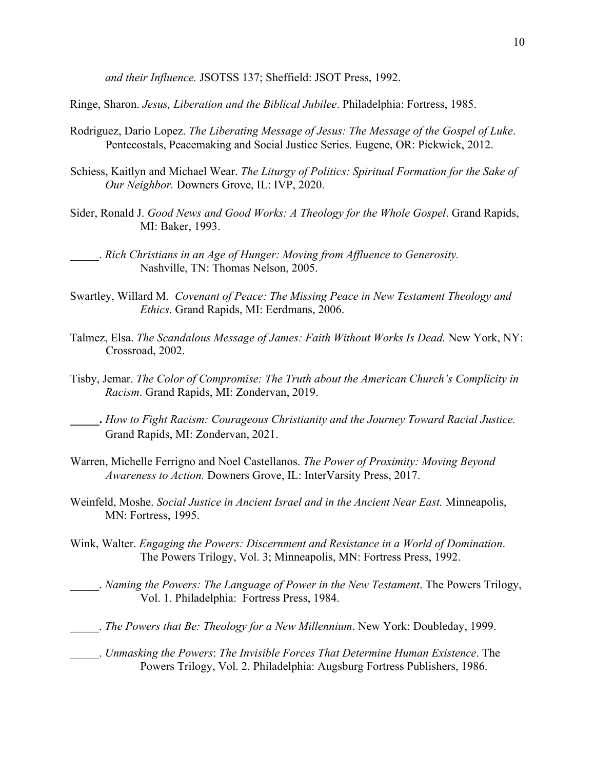*and their Influence.* JSOTSS 137; Sheffield: JSOT Press, 1992.

Ringe, Sharon. *Jesus, Liberation and the Biblical Jubilee*. Philadelphia: Fortress, 1985.

- Rodriguez, Dario Lopez. *The Liberating Message of Jesus: The Message of the Gospel of Luke*. Pentecostals, Peacemaking and Social Justice Series. Eugene, OR: Pickwick, 2012.
- Schiess, Kaitlyn and Michael Wear. *The Liturgy of Politics: Spiritual Formation for the Sake of Our Neighbor.* Downers Grove, IL: IVP, 2020.
- Sider, Ronald J. *Good News and Good Works: A Theology for the Whole Gospel*. Grand Rapids, MI: Baker, 1993.

- Swartley, Willard M. *Covenant of Peace: The Missing Peace in New Testament Theology and Ethics*. Grand Rapids, MI: Eerdmans, 2006.
- Talmez, Elsa. *The Scandalous Message of James: Faith Without Works Is Dead.* New York, NY: Crossroad, 2002.
- Tisby, Jemar. *The Color of Compromise: The Truth about the American Church's Complicity in Racism*. Grand Rapids, MI: Zondervan, 2019.
- **\_\_\_\_\_.** *How to Fight Racism: Courageous Christianity and the Journey Toward Racial Justice.*  Grand Rapids, MI: Zondervan, 2021.
- Warren, Michelle Ferrigno and Noel Castellanos. *The Power of Proximity: Moving Beyond Awareness to Action.* Downers Grove, IL: InterVarsity Press, 2017.
- Weinfeld, Moshe. *Social Justice in Ancient Israel and in the Ancient Near East.* Minneapolis, MN: Fortress, 1995.
- Wink, Walter. *Engaging the Powers: Discernment and Resistance in a World of Domination*. The Powers Trilogy, Vol. 3; Minneapolis, MN: Fortress Press, 1992.
	- \_\_\_\_\_. *Naming the Powers: The Language of Power in the New Testament*. The Powers Trilogy, Vol. 1. Philadelphia: Fortress Press, 1984.
- \_\_\_\_\_. *The Powers that Be: Theology for a New Millennium*. New York: Doubleday, 1999.
- \_\_\_\_\_. *Unmasking the Powers*: *The Invisible Forces That Determine Human Existence*. The Powers Trilogy, Vol. 2. Philadelphia: Augsburg Fortress Publishers, 1986.

\_\_\_\_\_. *Rich Christians in an Age of Hunger: Moving from Affluence to Generosity.* Nashville, TN: Thomas Nelson, 2005.